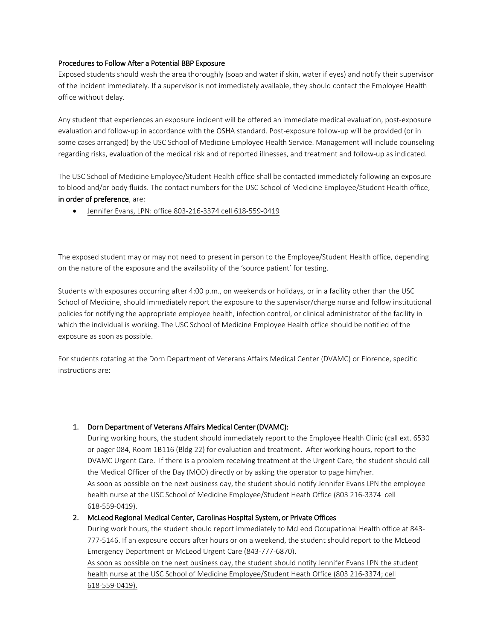### Procedures to Follow After a Potential BBP Exposure

Exposed students should wash the area thoroughly (soap and water if skin, water if eyes) and notify their supervisor of the incident immediately. If a supervisor is not immediately available, they should contact the Employee Health office without delay.

Any student that experiences an exposure incident will be offered an immediate medical evaluation, post-exposure evaluation and follow-up in accordance with the OSHA standard. Post-exposure follow-up will be provided (or in some cases arranged) by the USC School of Medicine Employee Health Service. Management will include counseling regarding risks, evaluation of the medical risk and of reported illnesses, and treatment and follow-up as indicated.

The USC School of Medicine Employee/Student Health office shall be contacted immediately following an exposure to blood and/or body fluids. The contact numbers for the USC School of Medicine Employee/Student Health office, in order of preference, are:

• Jennifer Evans, LPN: office 803-216-3374 cell 618-559-0419

The exposed student may or may not need to present in person to the Employee/Student Health office, depending on the nature of the exposure and the availability of the 'source patient' for testing.

Students with exposures occurring after 4:00 p.m., on weekends or holidays, or in a facility other than the USC School of Medicine, should immediately report the exposure to the supervisor/charge nurse and follow institutional policies for notifying the appropriate employee health, infection control, or clinical administrator of the facility in which the individual is working. The USC School of Medicine Employee Health office should be notified of the exposure as soon as possible.

For students rotating at the Dorn Department of Veterans Affairs Medical Center (DVAMC) or Florence, specific instructions are:

### 1. Dorn Department of Veterans Affairs Medical Center (DVAMC):

During working hours, the student should immediately report to the Employee Health Clinic (call ext. 6530 or pager 084, Room 1B116 (Bldg 22) for evaluation and treatment. After working hours, report to the DVAMC Urgent Care. If there is a problem receiving treatment at the Urgent Care, the student should call the Medical Officer of the Day (MOD) directly or by asking the operator to page him/her. As soon as possible on the next business day, the student should notify Jennifer Evans LPN the employee health nurse at the USC School of Medicine Employee/Student Heath Office (803 216-3374 cell 618-559-0419).

#### 2. McLeod Regional Medical Center, Carolinas Hospital System, or Private Offices

During work hours, the student should report immediately to McLeod Occupational Health office at 843- 777-5146. If an exposure occurs after hours or on a weekend, the student should report to the McLeod Emergency Department or McLeod Urgent Care (843-777-6870).

As soon as possible on the next business day, the student should notify Jennifer Evans LPN the student health nurse at the USC School of Medicine Employee/Student Heath Office (803 216-3374; cell 618-559-0419).